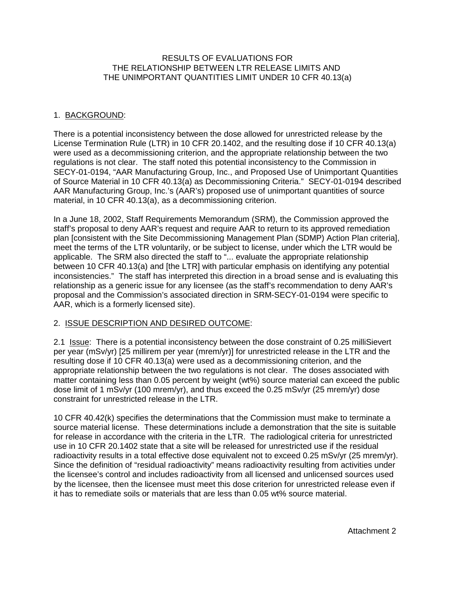## RESULTS OF EVALUATIONS FOR THE RELATIONSHIP BETWEEN LTR RELEASE LIMITS AND THE UNIMPORTANT QUANTITIES LIMIT UNDER 10 CFR 40.13(a)

# 1. BACKGROUND:

There is a potential inconsistency between the dose allowed for unrestricted release by the License Termination Rule (LTR) in 10 CFR 20.1402, and the resulting dose if 10 CFR 40.13(a) were used as a decommissioning criterion, and the appropriate relationship between the two regulations is not clear. The staff noted this potential inconsistency to the Commission in SECY-01-0194, "AAR Manufacturing Group, Inc., and Proposed Use of Unimportant Quantities of Source Material in 10 CFR 40.13(a) as Decommissioning Criteria." SECY-01-0194 described AAR Manufacturing Group, Inc.'s (AAR's) proposed use of unimportant quantities of source material, in 10 CFR 40.13(a), as a decommissioning criterion.

In a June 18, 2002, Staff Requirements Memorandum (SRM), the Commission approved the staff's proposal to deny AAR's request and require AAR to return to its approved remediation plan [consistent with the Site Decommissioning Management Plan (SDMP) Action Plan criteria], meet the terms of the LTR voluntarily, or be subject to license, under which the LTR would be applicable. The SRM also directed the staff to "... evaluate the appropriate relationship between 10 CFR 40.13(a) and [the LTR] with particular emphasis on identifying any potential inconsistencies." The staff has interpreted this direction in a broad sense and is evaluating this relationship as a generic issue for any licensee (as the staff's recommendation to deny AAR's proposal and the Commission's associated direction in SRM-SECY-01-0194 were specific to AAR, which is a formerly licensed site).

## 2. ISSUE DESCRIPTION AND DESIRED OUTCOME:

2.1 Issue: There is a potential inconsistency between the dose constraint of 0.25 milliSievert per year (mSv/yr) [25 millirem per year (mrem/yr)] for unrestricted release in the LTR and the resulting dose if 10 CFR 40.13(a) were used as a decommissioning criterion, and the appropriate relationship between the two regulations is not clear. The doses associated with matter containing less than 0.05 percent by weight (wt%) source material can exceed the public dose limit of 1 mSv/yr (100 mrem/yr), and thus exceed the 0.25 mSv/yr (25 mrem/yr) dose constraint for unrestricted release in the LTR.

10 CFR 40.42(k) specifies the determinations that the Commission must make to terminate a source material license. These determinations include a demonstration that the site is suitable for release in accordance with the criteria in the LTR. The radiological criteria for unrestricted use in 10 CFR 20.1402 state that a site will be released for unrestricted use if the residual radioactivity results in a total effective dose equivalent not to exceed 0.25 mSv/yr (25 mrem/yr). Since the definition of "residual radioactivity" means radioactivity resulting from activities under the licensee's control and includes radioactivity from all licensed and unlicensed sources used by the licensee, then the licensee must meet this dose criterion for unrestricted release even if it has to remediate soils or materials that are less than 0.05 wt% source material.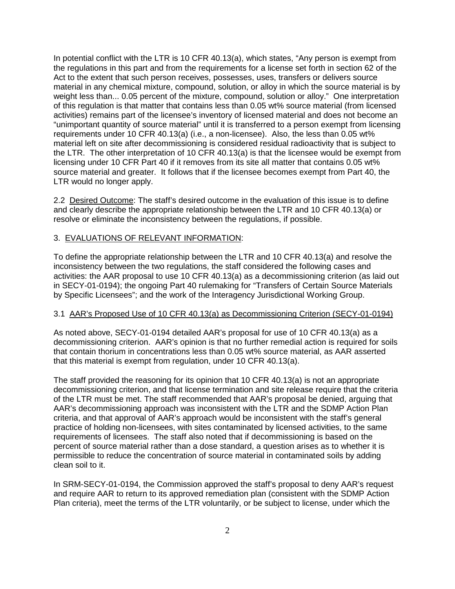In potential conflict with the LTR is 10 CFR 40.13(a), which states, "Any person is exempt from the regulations in this part and from the requirements for a license set forth in section 62 of the Act to the extent that such person receives, possesses, uses, transfers or delivers source material in any chemical mixture, compound, solution, or alloy in which the source material is by weight less than... 0.05 percent of the mixture, compound, solution or alloy." One interpretation of this regulation is that matter that contains less than 0.05 wt% source material (from licensed activities) remains part of the licensee's inventory of licensed material and does not become an "unimportant quantity of source material" until it is transferred to a person exempt from licensing requirements under 10 CFR 40.13(a) (i.e., a non-licensee). Also, the less than 0.05 wt% material left on site after decommissioning is considered residual radioactivity that is subject to the LTR. The other interpretation of 10 CFR 40.13(a) is that the licensee would be exempt from licensing under 10 CFR Part 40 if it removes from its site all matter that contains 0.05 wt% source material and greater. It follows that if the licensee becomes exempt from Part 40, the LTR would no longer apply.

2.2 Desired Outcome: The staff's desired outcome in the evaluation of this issue is to define and clearly describe the appropriate relationship between the LTR and 10 CFR 40.13(a) or resolve or eliminate the inconsistency between the regulations, if possible.

#### 3. EVALUATIONS OF RELEVANT INFORMATION:

To define the appropriate relationship between the LTR and 10 CFR 40.13(a) and resolve the inconsistency between the two regulations, the staff considered the following cases and activities: the AAR proposal to use 10 CFR 40.13(a) as a decommissioning criterion (as laid out in SECY-01-0194); the ongoing Part 40 rulemaking for "Transfers of Certain Source Materials by Specific Licensees"; and the work of the Interagency Jurisdictional Working Group.

#### 3.1 AAR's Proposed Use of 10 CFR 40.13(a) as Decommissioning Criterion (SECY-01-0194)

As noted above, SECY-01-0194 detailed AAR's proposal for use of 10 CFR 40.13(a) as a decommissioning criterion. AAR's opinion is that no further remedial action is required for soils that contain thorium in concentrations less than 0.05 wt% source material, as AAR asserted that this material is exempt from regulation, under 10 CFR 40.13(a).

The staff provided the reasoning for its opinion that 10 CFR 40.13(a) is not an appropriate decommissioning criterion, and that license termination and site release require that the criteria of the LTR must be met. The staff recommended that AAR's proposal be denied, arguing that AAR's decommissioning approach was inconsistent with the LTR and the SDMP Action Plan criteria, and that approval of AAR's approach would be inconsistent with the staff's general practice of holding non-licensees, with sites contaminated by licensed activities, to the same requirements of licensees. The staff also noted that if decommissioning is based on the percent of source material rather than a dose standard, a question arises as to whether it is permissible to reduce the concentration of source material in contaminated soils by adding clean soil to it.

In SRM-SECY-01-0194, the Commission approved the staff's proposal to deny AAR's request and require AAR to return to its approved remediation plan (consistent with the SDMP Action Plan criteria), meet the terms of the LTR voluntarily, or be subject to license, under which the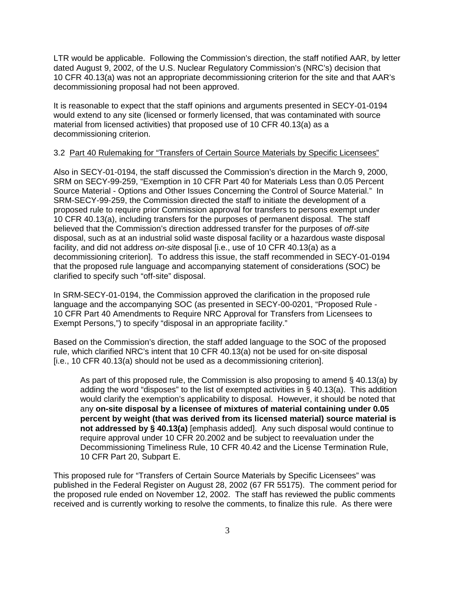LTR would be applicable. Following the Commission's direction, the staff notified AAR, by letter dated August 9, 2002, of the U.S. Nuclear Regulatory Commission's (NRC's) decision that 10 CFR 40.13(a) was not an appropriate decommissioning criterion for the site and that AAR's decommissioning proposal had not been approved.

It is reasonable to expect that the staff opinions and arguments presented in SECY-01-0194 would extend to any site (licensed or formerly licensed, that was contaminated with source material from licensed activities) that proposed use of 10 CFR 40.13(a) as a decommissioning criterion.

## 3.2 Part 40 Rulemaking for "Transfers of Certain Source Materials by Specific Licensees"

Also in SECY-01-0194, the staff discussed the Commission's direction in the March 9, 2000, SRM on SECY-99-259, "Exemption in 10 CFR Part 40 for Materials Less than 0.05 Percent Source Material - Options and Other Issues Concerning the Control of Source Material." In SRM-SECY-99-259, the Commission directed the staff to initiate the development of a proposed rule to require prior Commission approval for transfers to persons exempt under 10 CFR 40.13(a), including transfers for the purposes of permanent disposal. The staff believed that the Commission's direction addressed transfer for the purposes of off-site disposal, such as at an industrial solid waste disposal facility or a hazardous waste disposal facility, and did not address on-site disposal [i.e., use of 10 CFR 40.13(a) as a decommissioning criterion]. To address this issue, the staff recommended in SECY-01-0194 that the proposed rule language and accompanying statement of considerations (SOC) be clarified to specify such "off-site" disposal.

In SRM-SECY-01-0194, the Commission approved the clarification in the proposed rule language and the accompanying SOC (as presented in SECY-00-0201, "Proposed Rule - 10 CFR Part 40 Amendments to Require NRC Approval for Transfers from Licensees to Exempt Persons,") to specify "disposal in an appropriate facility."

Based on the Commission's direction, the staff added language to the SOC of the proposed rule, which clarified NRC's intent that 10 CFR 40.13(a) not be used for on-site disposal [i.e., 10 CFR 40.13(a) should not be used as a decommissioning criterion].

As part of this proposed rule, the Commission is also proposing to amend § 40.13(a) by adding the word "disposes" to the list of exempted activities in § 40.13(a). This addition would clarify the exemption's applicability to disposal. However, it should be noted that any **on-site disposal by a licensee of mixtures of material containing under 0.05 percent by weight (that was derived from its licensed material) source material is not addressed by § 40.13(a)** [emphasis added]. Any such disposal would continue to require approval under 10 CFR 20.2002 and be subject to reevaluation under the Decommissioning Timeliness Rule, 10 CFR 40.42 and the License Termination Rule, 10 CFR Part 20, Subpart E.

This proposed rule for "Transfers of Certain Source Materials by Specific Licensees" was published in the Federal Register on August 28, 2002 (67 FR 55175). The comment period for the proposed rule ended on November 12, 2002. The staff has reviewed the public comments received and is currently working to resolve the comments, to finalize this rule. As there were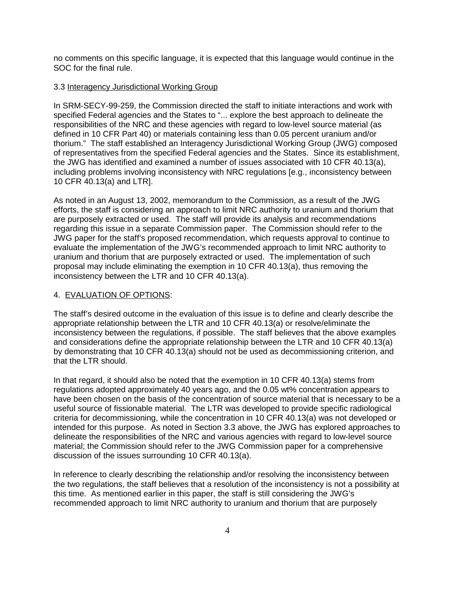no comments on this specific language, it is expected that this language would continue in the SOC for the final rule.

#### 3.3 Interagency Jurisdictional Working Group

In SRM-SECY-99-259, the Commission directed the staff to initiate interactions and work with specified Federal agencies and the States to "... explore the best approach to delineate the responsibilities of the NRC and these agencies with regard to low-level source material (as defined in 10 CFR Part 40) or materials containing less than 0.05 percent uranium and/or thorium." The staff established an Interagency Jurisdictional Working Group (JWG) composed of representatives from the specified Federal agencies and the States. Since its establishment, the JWG has identified and examined a number of issues associated with 10 CFR 40.13(a), including problems involving inconsistency with NRC regulations [e.g., inconsistency between 10 CFR 40.13(a) and LTR].

As noted in an August 13, 2002, memorandum to the Commission, as a result of the JWG efforts, the staff is considering an approach to limit NRC authority to uranium and thorium that are purposely extracted or used. The staff will provide its analysis and recommendations regarding this issue in a separate Commission paper. The Commission should refer to the JWG paper for the staff's proposed recommendation, which requests approval to continue to evaluate the implementation of the JWG's recommended approach to limit NRC authority to uranium and thorium that are purposely extracted or used. The implementation of such proposal may include eliminating the exemption in 10 CFR 40.13(a), thus removing the inconsistency between the LTR and 10 CFR 40.13(a).

## 4. EVALUATION OF OPTIONS:

The staff's desired outcome in the evaluation of this issue is to define and clearly describe the appropriate relationship between the LTR and 10 CFR 40.13(a) or resolve/eliminate the inconsistency between the regulations, if possible. The staff believes that the above examples and considerations define the appropriate relationship between the LTR and 10 CFR 40.13(a) by demonstrating that 10 CFR 40.13(a) should not be used as decommissioning criterion, and that the LTR should.

In that regard, it should also be noted that the exemption in 10 CFR 40.13(a) stems from regulations adopted approximately 40 years ago, and the 0.05 wt% concentration appears to have been chosen on the basis of the concentration of source material that is necessary to be a useful source of fissionable material. The LTR was developed to provide specific radiological criteria for decommissioning, while the concentration in 10 CFR 40.13(a) was not developed or intended for this purpose. As noted in Section 3.3 above, the JWG has explored approaches to delineate the responsibilities of the NRC and various agencies with regard to low-level source material; the Commission should refer to the JWG Commission paper for a comprehensive discussion of the issues surrounding 10 CFR 40.13(a).

In reference to clearly describing the relationship and/or resolving the inconsistency between the two regulations, the staff believes that a resolution of the inconsistency is not a possibility at this time. As mentioned earlier in this paper, the staff is still considering the JWG's recommended approach to limit NRC authority to uranium and thorium that are purposely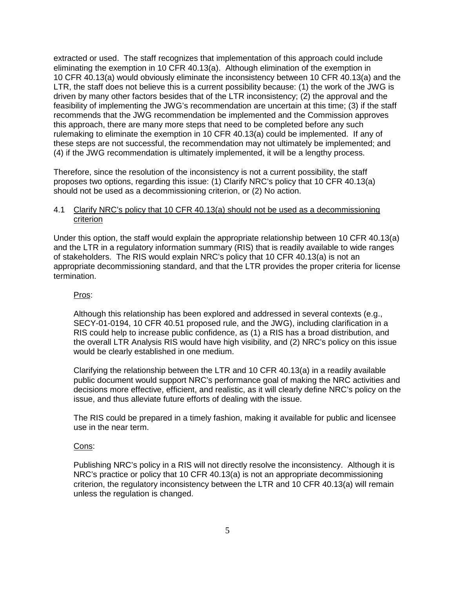extracted or used. The staff recognizes that implementation of this approach could include eliminating the exemption in 10 CFR 40.13(a). Although elimination of the exemption in 10 CFR 40.13(a) would obviously eliminate the inconsistency between 10 CFR 40.13(a) and the LTR, the staff does not believe this is a current possibility because: (1) the work of the JWG is driven by many other factors besides that of the LTR inconsistency; (2) the approval and the feasibility of implementing the JWG's recommendation are uncertain at this time; (3) if the staff recommends that the JWG recommendation be implemented and the Commission approves this approach, there are many more steps that need to be completed before any such rulemaking to eliminate the exemption in 10 CFR 40.13(a) could be implemented. If any of these steps are not successful, the recommendation may not ultimately be implemented; and (4) if the JWG recommendation is ultimately implemented, it will be a lengthy process.

Therefore, since the resolution of the inconsistency is not a current possibility, the staff proposes two options, regarding this issue: (1) Clarify NRC's policy that 10 CFR 40.13(a) should not be used as a decommissioning criterion, or (2) No action.

## 4.1 Clarify NRC's policy that 10 CFR 40.13(a) should not be used as a decommissioning criterion

Under this option, the staff would explain the appropriate relationship between 10 CFR 40.13(a) and the LTR in a regulatory information summary (RIS) that is readily available to wide ranges of stakeholders. The RIS would explain NRC's policy that 10 CFR 40.13(a) is not an appropriate decommissioning standard, and that the LTR provides the proper criteria for license termination.

## Pros:

Although this relationship has been explored and addressed in several contexts (e.g., SECY-01-0194, 10 CFR 40.51 proposed rule, and the JWG), including clarification in a RIS could help to increase public confidence, as (1) a RIS has a broad distribution, and the overall LTR Analysis RIS would have high visibility, and (2) NRC's policy on this issue would be clearly established in one medium.

Clarifying the relationship between the LTR and 10 CFR 40.13(a) in a readily available public document would support NRC's performance goal of making the NRC activities and decisions more effective, efficient, and realistic, as it will clearly define NRC's policy on the issue, and thus alleviate future efforts of dealing with the issue.

The RIS could be prepared in a timely fashion, making it available for public and licensee use in the near term.

## Cons:

Publishing NRC's policy in a RIS will not directly resolve the inconsistency. Although it is NRC's practice or policy that 10 CFR 40.13(a) is not an appropriate decommissioning criterion, the regulatory inconsistency between the LTR and 10 CFR 40.13(a) will remain unless the regulation is changed.